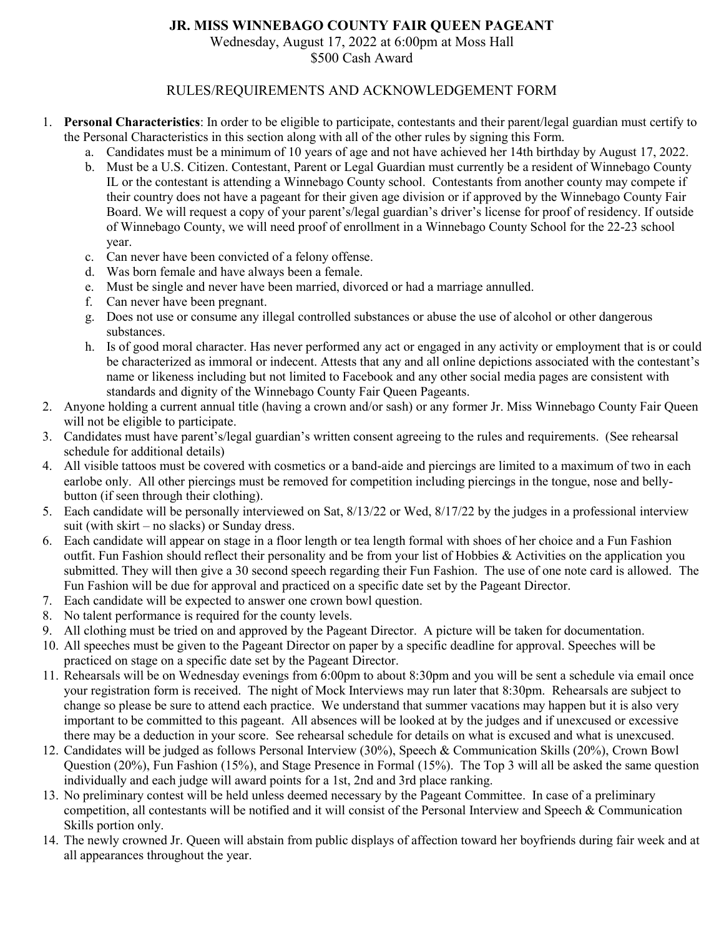## **JR. MISS WINNEBAGO COUNTY FAIR QUEEN PAGEANT**

Wednesday, August 17, 2022 at 6:00pm at Moss Hall

\$500 Cash Award

## RULES/REQUIREMENTS AND ACKNOWLEDGEMENT FORM

- 1. **Personal Characteristics**: In order to be eligible to participate, contestants and their parent/legal guardian must certify to the Personal Characteristics in this section along with all of the other rules by signing this Form.
	- a. Candidates must be a minimum of 10 years of age and not have achieved her 14th birthday by August 17, 2022.
	- b. Must be a U.S. Citizen. Contestant, Parent or Legal Guardian must currently be a resident of Winnebago County IL or the contestant is attending a Winnebago County school. Contestants from another county may compete if their country does not have a pageant for their given age division or if approved by the Winnebago County Fair Board. We will request a copy of your parent's/legal guardian's driver's license for proof of residency. If outside of Winnebago County, we will need proof of enrollment in a Winnebago County School for the 22-23 school year.
	- c. Can never have been convicted of a felony offense.
	- d. Was born female and have always been a female.
	- e. Must be single and never have been married, divorced or had a marriage annulled.
	- f. Can never have been pregnant.
	- g. Does not use or consume any illegal controlled substances or abuse the use of alcohol or other dangerous substances.
	- h. Is of good moral character. Has never performed any act or engaged in any activity or employment that is or could be characterized as immoral or indecent. Attests that any and all online depictions associated with the contestant's name or likeness including but not limited to Facebook and any other social media pages are consistent with standards and dignity of the Winnebago County Fair Queen Pageants.
- 2. Anyone holding a current annual title (having a crown and/or sash) or any former Jr. Miss Winnebago County Fair Queen will not be eligible to participate.
- 3. Candidates must have parent's/legal guardian's written consent agreeing to the rules and requirements. (See rehearsal schedule for additional details)
- 4. All visible tattoos must be covered with cosmetics or a band-aide and piercings are limited to a maximum of two in each earlobe only. All other piercings must be removed for competition including piercings in the tongue, nose and bellybutton (if seen through their clothing).
- 5. Each candidate will be personally interviewed on Sat, 8/13/22 or Wed, 8/17/22 by the judges in a professional interview suit (with skirt – no slacks) or Sunday dress.
- 6. Each candidate will appear on stage in a floor length or tea length formal with shoes of her choice and a Fun Fashion outfit. Fun Fashion should reflect their personality and be from your list of Hobbies & Activities on the application you submitted. They will then give a 30 second speech regarding their Fun Fashion. The use of one note card is allowed. The Fun Fashion will be due for approval and practiced on a specific date set by the Pageant Director.
- 7. Each candidate will be expected to answer one crown bowl question.
- 8. No talent performance is required for the county levels.
- 9. All clothing must be tried on and approved by the Pageant Director. A picture will be taken for documentation.
- 10. All speeches must be given to the Pageant Director on paper by a specific deadline for approval. Speeches will be practiced on stage on a specific date set by the Pageant Director.
- 11. Rehearsals will be on Wednesday evenings from 6:00pm to about 8:30pm and you will be sent a schedule via email once your registration form is received. The night of Mock Interviews may run later that 8:30pm. Rehearsals are subject to change so please be sure to attend each practice. We understand that summer vacations may happen but it is also very important to be committed to this pageant. All absences will be looked at by the judges and if unexcused or excessive there may be a deduction in your score. See rehearsal schedule for details on what is excused and what is unexcused.
- 12. Candidates will be judged as follows Personal Interview (30%), Speech & Communication Skills (20%), Crown Bowl Question (20%), Fun Fashion (15%), and Stage Presence in Formal (15%). The Top 3 will all be asked the same question individually and each judge will award points for a 1st, 2nd and 3rd place ranking.
- 13. No preliminary contest will be held unless deemed necessary by the Pageant Committee. In case of a preliminary competition, all contestants will be notified and it will consist of the Personal Interview and Speech & Communication Skills portion only.
- 14. The newly crowned Jr. Queen will abstain from public displays of affection toward her boyfriends during fair week and at all appearances throughout the year.